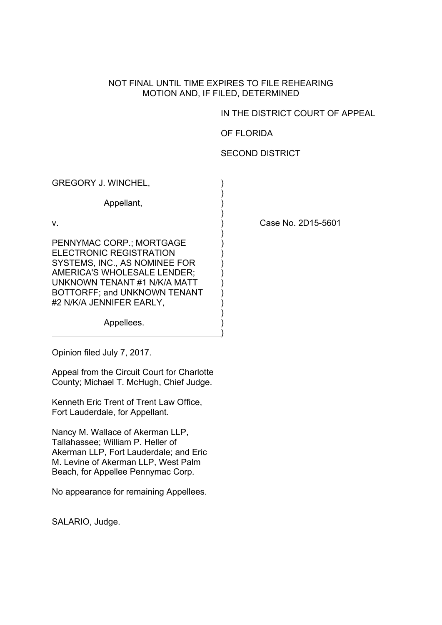## NOT FINAL UNTIL TIME EXPIRES TO FILE REHEARING MOTION AND, IF FILED, DETERMINED

## IN THE DISTRICT COURT OF APPEAL

## OF FLORIDA

## SECOND DISTRICT

GREGORY J. WINCHEL,  $\qquad \qquad$ )  $)$ Appellant, (a)  $)$ v. ) Case No. 2D15-5601  $)$ PENNYMAC CORP.; MORTGAGE ) ELECTRONIC REGISTRATION SYSTEMS, INC., AS NOMINEE FOR ) AMERICA'S WHOLESALE LENDER:  $)$ UNKNOWN TENANT #1 N/K/A MATT BOTTORFF; and UNKNOWN TENANT ) #2 N/K/A JENNIFER EARLY,  $\qquad \qquad$ )  $)$ 

Appellees.

Opinion filed July 7, 2017.

Appeal from the Circuit Court for Charlotte County; Michael T. McHugh, Chief Judge.

) and the contract of the contract of  $\mathcal{L}$ 

Kenneth Eric Trent of Trent Law Office, Fort Lauderdale, for Appellant.

Nancy M. Wallace of Akerman LLP, Tallahassee; William P. Heller of Akerman LLP, Fort Lauderdale; and Eric M. Levine of Akerman LLP, West Palm Beach, for Appellee Pennymac Corp.

No appearance for remaining Appellees.

SALARIO, Judge.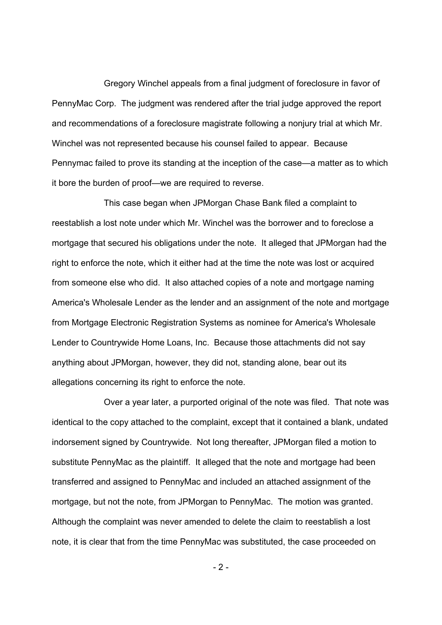Gregory Winchel appeals from a final judgment of foreclosure in favor of PennyMac Corp. The judgment was rendered after the trial judge approved the report and recommendations of a foreclosure magistrate following a nonjury trial at which Mr. Winchel was not represented because his counsel failed to appear. Because Pennymac failed to prove its standing at the inception of the case—a matter as to which it bore the burden of proof—we are required to reverse.

This case began when JPMorgan Chase Bank filed a complaint to reestablish a lost note under which Mr. Winchel was the borrower and to foreclose a mortgage that secured his obligations under the note. It alleged that JPMorgan had the right to enforce the note, which it either had at the time the note was lost or acquired from someone else who did. It also attached copies of a note and mortgage naming America's Wholesale Lender as the lender and an assignment of the note and mortgage from Mortgage Electronic Registration Systems as nominee for America's Wholesale Lender to Countrywide Home Loans, Inc. Because those attachments did not say anything about JPMorgan, however, they did not, standing alone, bear out its allegations concerning its right to enforce the note.

Over a year later, a purported original of the note was filed. That note was identical to the copy attached to the complaint, except that it contained a blank, undated indorsement signed by Countrywide. Not long thereafter, JPMorgan filed a motion to substitute PennyMac as the plaintiff. It alleged that the note and mortgage had been transferred and assigned to PennyMac and included an attached assignment of the mortgage, but not the note, from JPMorgan to PennyMac. The motion was granted. Although the complaint was never amended to delete the claim to reestablish a lost note, it is clear that from the time PennyMac was substituted, the case proceeded on

- 2 -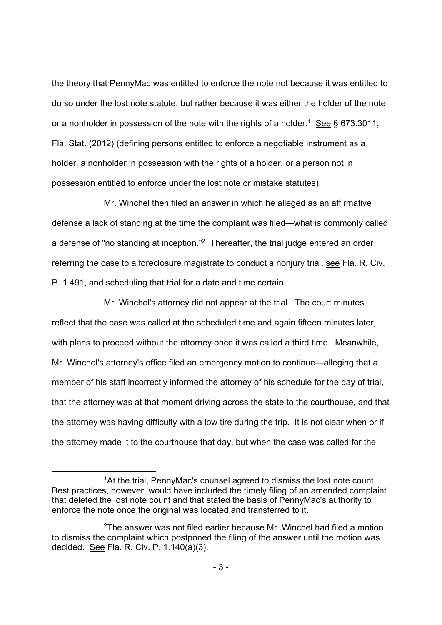the theory that PennyMac was entitled to enforce the note not because it was entitled to do so under the lost note statute, but rather because it was either the holder of the note or a nonholder in possession of the note with the rights of a holder.<sup>1</sup> See § 673.3011, Fla. Stat. (2012) (defining persons entitled to enforce a negotiable instrument as a holder, a nonholder in possession with the rights of a holder, or a person not in possession entitled to enforce under the lost note or mistake statutes).

Mr. Winchel then filed an answer in which he alleged as an affirmative defense a lack of standing at the time the complaint was filed—what is commonly called a defense of "no standing at inception."2 Thereafter, the trial judge entered an order referring the case to a foreclosure magistrate to conduct a nonjury trial, see Fla. R. Civ. P. 1.491, and scheduling that trial for a date and time certain.

Mr. Winchel's attorney did not appear at the trial. The court minutes reflect that the case was called at the scheduled time and again fifteen minutes later, with plans to proceed without the attorney once it was called a third time. Meanwhile, Mr. Winchel's attorney's office filed an emergency motion to continue—alleging that a member of his staff incorrectly informed the attorney of his schedule for the day of trial, that the attorney was at that moment driving across the state to the courthouse, and that the attorney was having difficulty with a low tire during the trip. It is not clear when or if the attorney made it to the courthouse that day, but when the case was called for the

<sup>&</sup>lt;sup>1</sup>At the trial, PennyMac's counsel agreed to dismiss the lost note count. Best practices, however, would have included the timely filing of an amended complaint that deleted the lost note count and that stated the basis of PennyMac's authority to enforce the note once the original was located and transferred to it.

<sup>2</sup>The answer was not filed earlier because Mr. Winchel had filed a motion to dismiss the complaint which postponed the filing of the answer until the motion was decided. See Fla. R. Civ. P. 1.140(a)(3).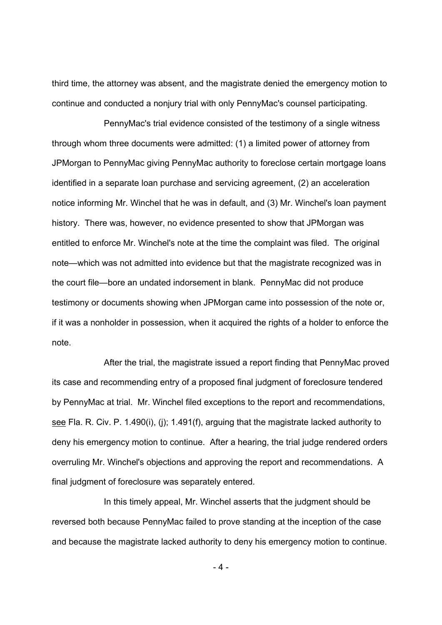third time, the attorney was absent, and the magistrate denied the emergency motion to continue and conducted a nonjury trial with only PennyMac's counsel participating.

PennyMac's trial evidence consisted of the testimony of a single witness through whom three documents were admitted: (1) a limited power of attorney from JPMorgan to PennyMac giving PennyMac authority to foreclose certain mortgage loans identified in a separate loan purchase and servicing agreement, (2) an acceleration notice informing Mr. Winchel that he was in default, and (3) Mr. Winchel's loan payment history. There was, however, no evidence presented to show that JPMorgan was entitled to enforce Mr. Winchel's note at the time the complaint was filed. The original note—which was not admitted into evidence but that the magistrate recognized was in the court file—bore an undated indorsement in blank. PennyMac did not produce testimony or documents showing when JPMorgan came into possession of the note or, if it was a nonholder in possession, when it acquired the rights of a holder to enforce the note.

After the trial, the magistrate issued a report finding that PennyMac proved its case and recommending entry of a proposed final judgment of foreclosure tendered by PennyMac at trial. Mr. Winchel filed exceptions to the report and recommendations, see Fla. R. Civ. P. 1.490(i), (j); 1.491(f), arguing that the magistrate lacked authority to deny his emergency motion to continue. After a hearing, the trial judge rendered orders overruling Mr. Winchel's objections and approving the report and recommendations. A final judgment of foreclosure was separately entered.

In this timely appeal, Mr. Winchel asserts that the judgment should be reversed both because PennyMac failed to prove standing at the inception of the case and because the magistrate lacked authority to deny his emergency motion to continue.

 $-4-$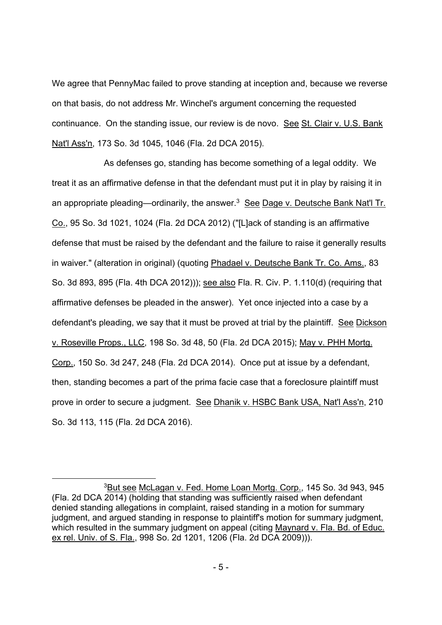We agree that PennyMac failed to prove standing at inception and, because we reverse on that basis, do not address Mr. Winchel's argument concerning the requested continuance. On the standing issue, our review is de novo. See St. Clair v. U.S. Bank Nat'l Ass'n, 173 So. 3d 1045, 1046 (Fla. 2d DCA 2015).

As defenses go, standing has become something of a legal oddity. We treat it as an affirmative defense in that the defendant must put it in play by raising it in an appropriate pleading—ordinarily, the answer.<sup>3</sup> See Dage v. Deutsche Bank Nat'l Tr. Co., 95 So. 3d 1021, 1024 (Fla. 2d DCA 2012) ("[L]ack of standing is an affirmative defense that must be raised by the defendant and the failure to raise it generally results in waiver." (alteration in original) (quoting Phadael v. Deutsche Bank Tr. Co. Ams., 83 So. 3d 893, 895 (Fla. 4th DCA 2012))); see also Fla. R. Civ. P. 1.110(d) (requiring that affirmative defenses be pleaded in the answer). Yet once injected into a case by a defendant's pleading, we say that it must be proved at trial by the plaintiff. See Dickson v. Roseville Props., LLC, 198 So. 3d 48, 50 (Fla. 2d DCA 2015); May v. PHH Mortg. Corp., 150 So. 3d 247, 248 (Fla. 2d DCA 2014). Once put at issue by a defendant, then, standing becomes a part of the prima facie case that a foreclosure plaintiff must prove in order to secure a judgment. See Dhanik v. HSBC Bank USA, Nat'l Ass'n, 210 So. 3d 113, 115 (Fla. 2d DCA 2016).

<sup>3</sup>But see McLagan v. Fed. Home Loan Mortg. Corp., 145 So. 3d 943, 945 (Fla. 2d DCA 2014) (holding that standing was sufficiently raised when defendant denied standing allegations in complaint, raised standing in a motion for summary judgment, and argued standing in response to plaintiff's motion for summary judgment, which resulted in the summary judgment on appeal (citing Maynard v. Fla. Bd. of Educ. ex rel. Univ. of S. Fla., 998 So. 2d 1201, 1206 (Fla. 2d DCA 2009))).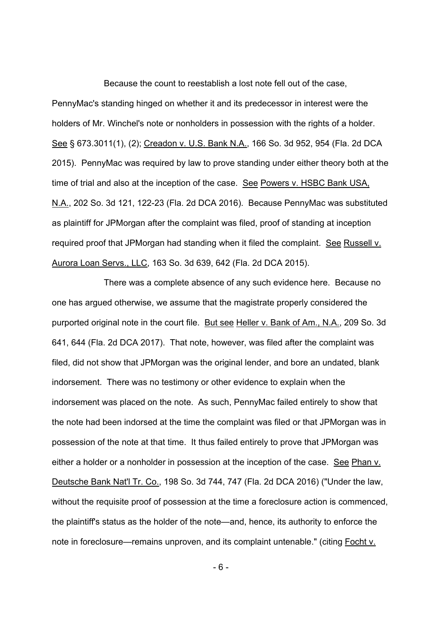Because the count to reestablish a lost note fell out of the case, PennyMac's standing hinged on whether it and its predecessor in interest were the holders of Mr. Winchel's note or nonholders in possession with the rights of a holder. See § 673.3011(1), (2); Creadon v. U.S. Bank N.A., 166 So. 3d 952, 954 (Fla. 2d DCA 2015). PennyMac was required by law to prove standing under either theory both at the time of trial and also at the inception of the case. See Powers v. HSBC Bank USA, N.A., 202 So. 3d 121, 122-23 (Fla. 2d DCA 2016). Because PennyMac was substituted as plaintiff for JPMorgan after the complaint was filed, proof of standing at inception required proof that JPMorgan had standing when it filed the complaint. See Russell v. Aurora Loan Servs., LLC, 163 So. 3d 639, 642 (Fla. 2d DCA 2015).

There was a complete absence of any such evidence here. Because no one has argued otherwise, we assume that the magistrate properly considered the purported original note in the court file. But see Heller v. Bank of Am., N.A., 209 So. 3d 641, 644 (Fla. 2d DCA 2017). That note, however, was filed after the complaint was filed, did not show that JPMorgan was the original lender, and bore an undated, blank indorsement. There was no testimony or other evidence to explain when the indorsement was placed on the note. As such, PennyMac failed entirely to show that the note had been indorsed at the time the complaint was filed or that JPMorgan was in possession of the note at that time. It thus failed entirely to prove that JPMorgan was either a holder or a nonholder in possession at the inception of the case. See Phan v. Deutsche Bank Nat'l Tr. Co., 198 So. 3d 744, 747 (Fla. 2d DCA 2016) ("Under the law, without the requisite proof of possession at the time a foreclosure action is commenced, the plaintiff's status as the holder of the note—and, hence, its authority to enforce the note in foreclosure—remains unproven, and its complaint untenable." (citing Focht v.

- 6 -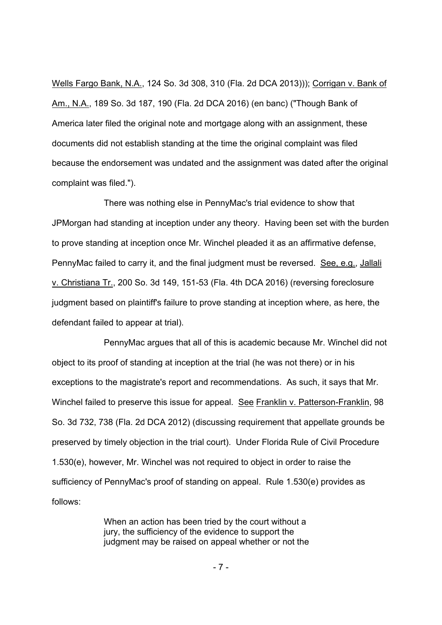Wells Fargo Bank, N.A., 124 So. 3d 308, 310 (Fla. 2d DCA 2013))); Corrigan v. Bank of Am., N.A., 189 So. 3d 187, 190 (Fla. 2d DCA 2016) (en banc) ("Though Bank of America later filed the original note and mortgage along with an assignment, these documents did not establish standing at the time the original complaint was filed because the endorsement was undated and the assignment was dated after the original complaint was filed.").

There was nothing else in PennyMac's trial evidence to show that JPMorgan had standing at inception under any theory. Having been set with the burden to prove standing at inception once Mr. Winchel pleaded it as an affirmative defense, PennyMac failed to carry it, and the final judgment must be reversed. See, e.g., Jallali v. Christiana Tr., 200 So. 3d 149, 151-53 (Fla. 4th DCA 2016) (reversing foreclosure judgment based on plaintiff's failure to prove standing at inception where, as here, the defendant failed to appear at trial).

PennyMac argues that all of this is academic because Mr. Winchel did not object to its proof of standing at inception at the trial (he was not there) or in his exceptions to the magistrate's report and recommendations. As such, it says that Mr. Winchel failed to preserve this issue for appeal. See Franklin v. Patterson-Franklin, 98 So. 3d 732, 738 (Fla. 2d DCA 2012) (discussing requirement that appellate grounds be preserved by timely objection in the trial court). Under Florida Rule of Civil Procedure 1.530(e), however, Mr. Winchel was not required to object in order to raise the sufficiency of PennyMac's proof of standing on appeal. Rule 1.530(e) provides as follows:

> When an action has been tried by the court without a jury, the sufficiency of the evidence to support the judgment may be raised on appeal whether or not the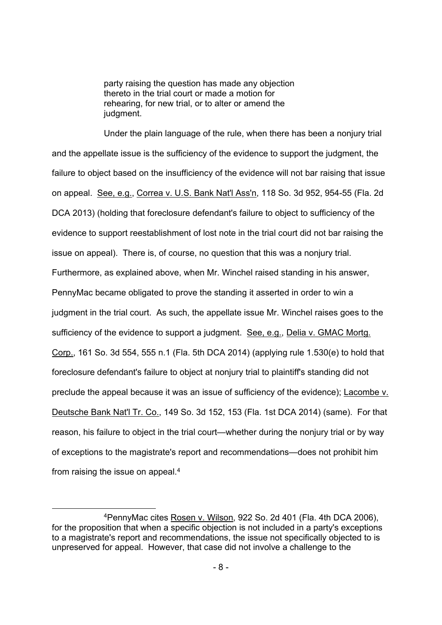party raising the question has made any objection thereto in the trial court or made a motion for rehearing, for new trial, or to alter or amend the judgment.

Under the plain language of the rule, when there has been a nonjury trial and the appellate issue is the sufficiency of the evidence to support the judgment, the failure to object based on the insufficiency of the evidence will not bar raising that issue on appeal. See, e.g., Correa v. U.S. Bank Nat'l Ass'n, 118 So. 3d 952, 954-55 (Fla. 2d DCA 2013) (holding that foreclosure defendant's failure to object to sufficiency of the evidence to support reestablishment of lost note in the trial court did not bar raising the issue on appeal). There is, of course, no question that this was a nonjury trial. Furthermore, as explained above, when Mr. Winchel raised standing in his answer, PennyMac became obligated to prove the standing it asserted in order to win a judgment in the trial court. As such, the appellate issue Mr. Winchel raises goes to the sufficiency of the evidence to support a judgment. See, e.g., Delia v. GMAC Mortg. Corp., 161 So. 3d 554, 555 n.1 (Fla. 5th DCA 2014) (applying rule 1.530(e) to hold that foreclosure defendant's failure to object at nonjury trial to plaintiff's standing did not preclude the appeal because it was an issue of sufficiency of the evidence); Lacombe v. Deutsche Bank Nat'l Tr. Co., 149 So. 3d 152, 153 (Fla. 1st DCA 2014) (same). For that reason, his failure to object in the trial court—whether during the nonjury trial or by way of exceptions to the magistrate's report and recommendations—does not prohibit him from raising the issue on appeal.4

 <sup>4</sup>PennyMac cites Rosen v. Wilson, 922 So. 2d 401 (Fla. 4th DCA 2006), for the proposition that when a specific objection is not included in a party's exceptions to a magistrate's report and recommendations, the issue not specifically objected to is unpreserved for appeal. However, that case did not involve a challenge to the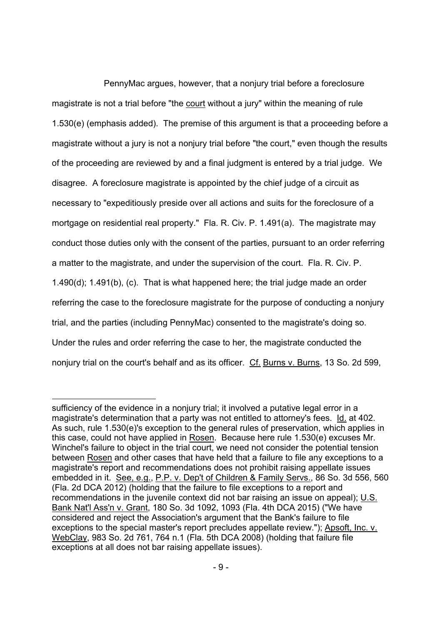PennyMac argues, however, that a nonjury trial before a foreclosure magistrate is not a trial before "the court without a jury" within the meaning of rule 1.530(e) (emphasis added). The premise of this argument is that a proceeding before a magistrate without a jury is not a nonjury trial before "the court," even though the results of the proceeding are reviewed by and a final judgment is entered by a trial judge. We disagree. A foreclosure magistrate is appointed by the chief judge of a circuit as necessary to "expeditiously preside over all actions and suits for the foreclosure of a mortgage on residential real property." Fla. R. Civ. P. 1.491(a). The magistrate may conduct those duties only with the consent of the parties, pursuant to an order referring a matter to the magistrate, and under the supervision of the court. Fla. R. Civ. P. 1.490(d); 1.491(b), (c). That is what happened here; the trial judge made an order referring the case to the foreclosure magistrate for the purpose of conducting a nonjury trial, and the parties (including PennyMac) consented to the magistrate's doing so. Under the rules and order referring the case to her, the magistrate conducted the nonjury trial on the court's behalf and as its officer. Cf. Burns v. Burns, 13 So. 2d 599,

 $\overline{a}$ 

sufficiency of the evidence in a nonjury trial; it involved a putative legal error in a magistrate's determination that a party was not entitled to attorney's fees. Id. at 402. As such, rule 1.530(e)'s exception to the general rules of preservation, which applies in this case, could not have applied in Rosen. Because here rule 1.530(e) excuses Mr. Winchel's failure to object in the trial court, we need not consider the potential tension between Rosen and other cases that have held that a failure to file any exceptions to a magistrate's report and recommendations does not prohibit raising appellate issues embedded in it. See, e.g., P.P. v. Dep't of Children & Family Servs., 86 So. 3d 556, 560 (Fla. 2d DCA 2012) (holding that the failure to file exceptions to a report and recommendations in the juvenile context did not bar raising an issue on appeal); U.S. Bank Nat'l Ass'n v. Grant, 180 So. 3d 1092, 1093 (Fla. 4th DCA 2015) ("We have considered and reject the Association's argument that the Bank's failure to file exceptions to the special master's report precludes appellate review."); Apsoft, Inc. v. WebClay, 983 So. 2d 761, 764 n.1 (Fla. 5th DCA 2008) (holding that failure file exceptions at all does not bar raising appellate issues).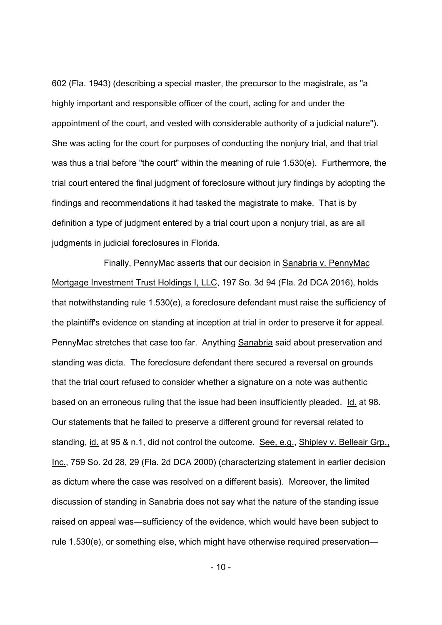602 (Fla. 1943) (describing a special master, the precursor to the magistrate, as "a highly important and responsible officer of the court, acting for and under the appointment of the court, and vested with considerable authority of a judicial nature"). She was acting for the court for purposes of conducting the nonjury trial, and that trial was thus a trial before "the court" within the meaning of rule 1.530(e). Furthermore, the trial court entered the final judgment of foreclosure without jury findings by adopting the findings and recommendations it had tasked the magistrate to make. That is by definition a type of judgment entered by a trial court upon a nonjury trial, as are all judgments in judicial foreclosures in Florida.

Finally, PennyMac asserts that our decision in Sanabria v. PennyMac Mortgage Investment Trust Holdings I, LLC, 197 So. 3d 94 (Fla. 2d DCA 2016), holds that notwithstanding rule 1.530(e), a foreclosure defendant must raise the sufficiency of the plaintiff's evidence on standing at inception at trial in order to preserve it for appeal. PennyMac stretches that case too far. Anything Sanabria said about preservation and standing was dicta. The foreclosure defendant there secured a reversal on grounds that the trial court refused to consider whether a signature on a note was authentic based on an erroneous ruling that the issue had been insufficiently pleaded. Id. at 98. Our statements that he failed to preserve a different ground for reversal related to standing, id. at 95 & n.1, did not control the outcome. See, e.g., Shipley v. Belleair Grp., Inc., 759 So. 2d 28, 29 (Fla. 2d DCA 2000) (characterizing statement in earlier decision as dictum where the case was resolved on a different basis). Moreover, the limited discussion of standing in Sanabria does not say what the nature of the standing issue raised on appeal was—sufficiency of the evidence, which would have been subject to rule 1.530(e), or something else, which might have otherwise required preservation—

 $-10-$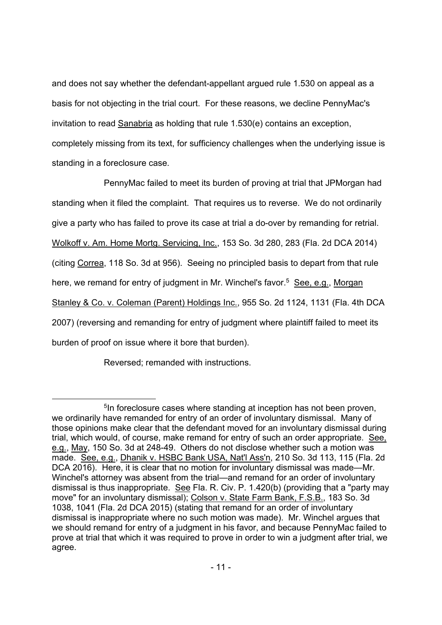and does not say whether the defendant-appellant argued rule 1.530 on appeal as a basis for not objecting in the trial court. For these reasons, we decline PennyMac's invitation to read Sanabria as holding that rule 1.530(e) contains an exception, completely missing from its text, for sufficiency challenges when the underlying issue is standing in a foreclosure case.

PennyMac failed to meet its burden of proving at trial that JPMorgan had standing when it filed the complaint. That requires us to reverse. We do not ordinarily give a party who has failed to prove its case at trial a do-over by remanding for retrial. Wolkoff v. Am. Home Mortg. Servicing, Inc., 153 So. 3d 280, 283 (Fla. 2d DCA 2014) (citing Correa, 118 So. 3d at 956). Seeing no principled basis to depart from that rule here, we remand for entry of judgment in Mr. Winchel's favor.<sup>5</sup> See, e.g., Morgan Stanley & Co. v. Coleman (Parent) Holdings Inc., 955 So. 2d 1124, 1131 (Fla. 4th DCA 2007) (reversing and remanding for entry of judgment where plaintiff failed to meet its burden of proof on issue where it bore that burden).

Reversed; remanded with instructions.

<sup>&</sup>lt;sup>5</sup>In foreclosure cases where standing at inception has not been proven, we ordinarily have remanded for entry of an order of involuntary dismissal. Many of those opinions make clear that the defendant moved for an involuntary dismissal during trial, which would, of course, make remand for entry of such an order appropriate. See, e.g., May, 150 So. 3d at 248-49. Others do not disclose whether such a motion was made. See, e.g., Dhanik v. HSBC Bank USA, Nat'l Ass'n, 210 So. 3d 113, 115 (Fla. 2d DCA 2016). Here, it is clear that no motion for involuntary dismissal was made—Mr. Winchel's attorney was absent from the trial—and remand for an order of involuntary dismissal is thus inappropriate. See Fla. R. Civ. P. 1.420(b) (providing that a "party may move" for an involuntary dismissal); Colson v. State Farm Bank, F.S.B., 183 So. 3d 1038, 1041 (Fla. 2d DCA 2015) (stating that remand for an order of involuntary dismissal is inappropriate where no such motion was made). Mr. Winchel argues that we should remand for entry of a judgment in his favor, and because PennyMac failed to prove at trial that which it was required to prove in order to win a judgment after trial, we agree.